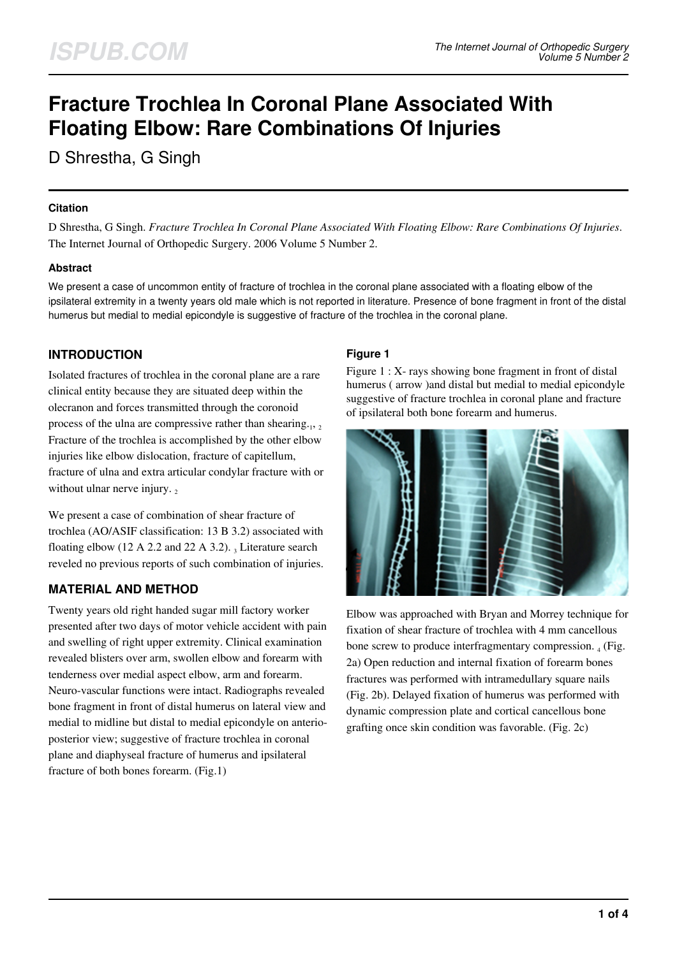# **Fracture Trochlea In Coronal Plane Associated With Floating Elbow: Rare Combinations Of Injuries**

D Shrestha, G Singh

#### **Citation**

D Shrestha, G Singh. *Fracture Trochlea In Coronal Plane Associated With Floating Elbow: Rare Combinations Of Injuries*. The Internet Journal of Orthopedic Surgery. 2006 Volume 5 Number 2.

## **Abstract**

We present a case of uncommon entity of fracture of trochlea in the coronal plane associated with a floating elbow of the ipsilateral extremity in a twenty years old male which is not reported in literature. Presence of bone fragment in front of the distal humerus but medial to medial epicondyle is suggestive of fracture of the trochlea in the coronal plane.

# **INTRODUCTION**

Isolated fractures of trochlea in the coronal plane are a rare clinical entity because they are situated deep within the olecranon and forces transmitted through the coronoid process of the ulna are compressive rather than shearing. $_1$ , 2 Fracture of the trochlea is accomplished by the other elbow injuries like elbow dislocation, fracture of capitellum, fracture of ulna and extra articular condylar fracture with or without ulnar nerve injury.

We present a case of combination of shear fracture of trochlea (AO/ASIF classification: 13 B 3.2) associated with floating elbow (12 A 2.2 and 22 A 3.2).  $_3$  Literature search reveled no previous reports of such combination of injuries.

## **MATERIAL AND METHOD**

Twenty years old right handed sugar mill factory worker presented after two days of motor vehicle accident with pain and swelling of right upper extremity. Clinical examination revealed blisters over arm, swollen elbow and forearm with tenderness over medial aspect elbow, arm and forearm. Neuro-vascular functions were intact. Radiographs revealed bone fragment in front of distal humerus on lateral view and medial to midline but distal to medial epicondyle on anterioposterior view; suggestive of fracture trochlea in coronal plane and diaphyseal fracture of humerus and ipsilateral fracture of both bones forearm. (Fig.1)

## **Figure 1**

Figure 1 : X- rays showing bone fragment in front of distal humerus (arrow ) and distal but medial to medial epicondyle suggestive of fracture trochlea in coronal plane and fracture of ipsilateral both bone forearm and humerus.



Elbow was approached with Bryan and Morrey technique for fixation of shear fracture of trochlea with 4 mm cancellous bone screw to produce interfragmentary compression.  $_4$  (Fig. 2a) Open reduction and internal fixation of forearm bones fractures was performed with intramedullary square nails (Fig. 2b). Delayed fixation of humerus was performed with dynamic compression plate and cortical cancellous bone grafting once skin condition was favorable. (Fig. 2c)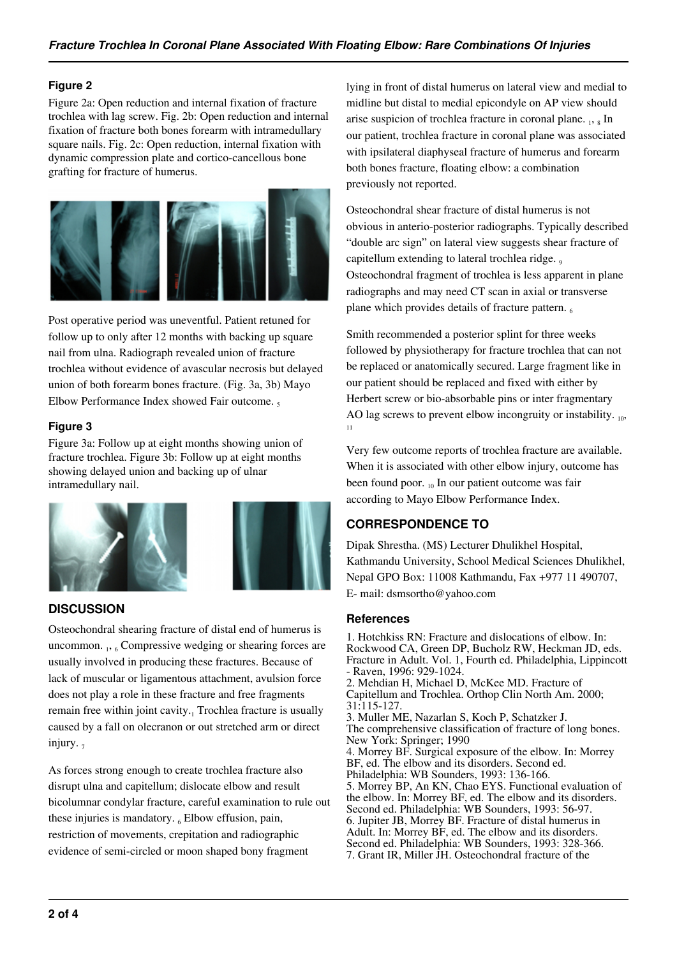#### **Figure 2**

Figure 2a: Open reduction and internal fixation of fracture trochlea with lag screw. Fig. 2b: Open reduction and internal fixation of fracture both bones forearm with intramedullary square nails. Fig. 2c: Open reduction, internal fixation with dynamic compression plate and cortico-cancellous bone grafting for fracture of humerus.



Post operative period was uneventful. Patient retuned for follow up to only after 12 months with backing up square nail from ulna. Radiograph revealed union of fracture trochlea without evidence of avascular necrosis but delayed union of both forearm bones fracture. (Fig. 3a, 3b) Mayo Elbow Performance Index showed Fair outcome.

#### **Figure 3**

Figure 3a: Follow up at eight months showing union of fracture trochlea. Figure 3b: Follow up at eight months showing delayed union and backing up of ulnar intramedullary nail.



## **DISCUSSION**

Osteochondral shearing fracture of distal end of humerus is uncommon. 1, 6 Compressive wedging or shearing forces are usually involved in producing these fractures. Because of lack of muscular or ligamentous attachment, avulsion force does not play a role in these fracture and free fragments remain free within joint cavity.<sub>1</sub> Trochlea fracture is usually caused by a fall on olecranon or out stretched arm or direct injury.  $<sub>7</sub>$ </sub>

As forces strong enough to create trochlea fracture also disrupt ulna and capitellum; dislocate elbow and result bicolumnar condylar fracture, careful examination to rule out these injuries is mandatory.  $_6$  Elbow effusion, pain, restriction of movements, crepitation and radiographic evidence of semi-circled or moon shaped bony fragment

lying in front of distal humerus on lateral view and medial to midline but distal to medial epicondyle on AP view should arise suspicion of trochlea fracture in coronal plane. 1, 8 In our patient, trochlea fracture in coronal plane was associated with ipsilateral diaphyseal fracture of humerus and forearm both bones fracture, floating elbow: a combination previously not reported.

Osteochondral shear fracture of distal humerus is not obvious in anterio-posterior radiographs. Typically described "double arc sign" on lateral view suggests shear fracture of capitellum extending to lateral trochlea ridge. Osteochondral fragment of trochlea is less apparent in plane radiographs and may need CT scan in axial or transverse plane which provides details of fracture pattern.

Smith recommended a posterior splint for three weeks followed by physiotherapy for fracture trochlea that can not be replaced or anatomically secured. Large fragment like in our patient should be replaced and fixed with either by Herbert screw or bio-absorbable pins or inter fragmentary AO lag screws to prevent elbow incongruity or instability.  $_{10}$ , 11

Very few outcome reports of trochlea fracture are available. When it is associated with other elbow injury, outcome has been found poor.  $_{10}$  In our patient outcome was fair according to Mayo Elbow Performance Index.

## **CORRESPONDENCE TO**

Dipak Shrestha. (MS) Lecturer Dhulikhel Hospital, Kathmandu University, School Medical Sciences Dhulikhel, Nepal GPO Box: 11008 Kathmandu, Fax +977 11 490707, E- mail: dsmsortho@yahoo.com

#### **References**

1. Hotchkiss RN: Fracture and dislocations of elbow. In: Rockwood CA, Green DP, Bucholz RW, Heckman JD, eds. Fracture in Adult. Vol. 1, Fourth ed. Philadelphia, Lippincott - Raven, 1996: 929-1024. 2. Mehdian H, Michael D, McKee MD. Fracture of Capitellum and Trochlea. Orthop Clin North Am. 2000; 31:115-127. 3. Muller ME, Nazarlan S, Koch P, Schatzker J. The comprehensive classification of fracture of long bones. New York: Springer; 1990 4. Morrey BF. Surgical exposure of the elbow. In: Morrey BF, ed. The elbow and its disorders. Second ed. Philadelphia: WB Sounders, 1993: 136-166. 5. Morrey BP, An KN, Chao EYS. Functional evaluation of the elbow. In: Morrey BF, ed. The elbow and its disorders. Second ed. Philadelphia: WB Sounders, 1993: 56-97. 6. Jupiter JB, Morrey BF. Fracture of distal humerus in Adult. In: Morrey BF, ed. The elbow and its disorders. Second ed. Philadelphia: WB Sounders, 1993: 328-366. 7. Grant IR, Miller JH. Osteochondral fracture of the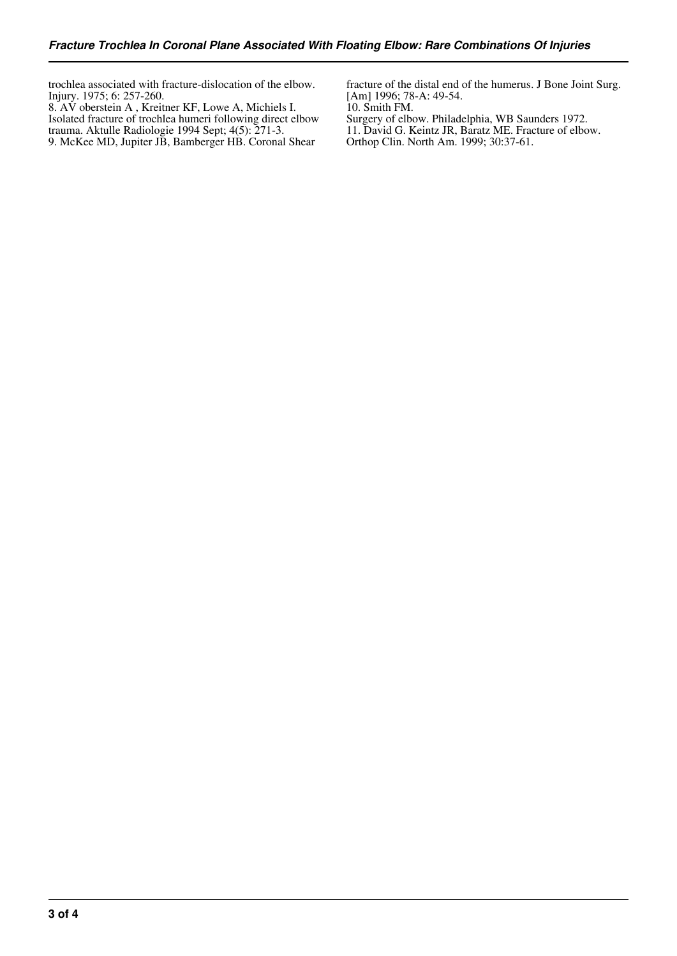trochlea associated with fracture-dislocation of the elbow. Injury. 1975; 6: 257-260.

8. AV oberstein A , Kreitner KF, Lowe A, Michiels I. Isolated fracture of trochlea humeri following direct elbow trauma. Aktulle Radiologie 1994 Sept; 4(5): 271-3. 9. McKee MD, Jupiter JB, Bamberger HB. Coronal Shear

fracture of the distal end of the humerus. J Bone Joint Surg. [Am] 1996; 78-A: 49-54.

10. Smith FM. Surgery of elbow. Philadelphia, WB Saunders 1972. 11. David G. Keintz JR, Baratz ME. Fracture of elbow.

Orthop Clin. North Am. 1999; 30:37-61.